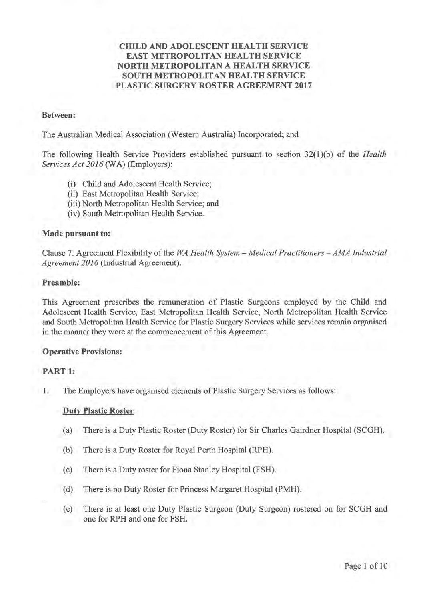# **CHILD AND ADOLESCENT HEALTH SERVICE EAST METROPOLITAN HEALTH SERVICE NORTH METROPOLITAN A HEALTH SERVICE SOUTH METROPOLITAN HEALTH SERVICE PLASTIC SURGERY ROSTER AGREEMENT 2017**

#### **Between:**

The Australian Medical Association (Western Australia) Incorporated; and

The following Health Service Providers established pursuant to section 32(1 )(b) of the *Health Services Act 2016* (WA) (Employers):

- (i) Child and Adolescent Health Service;
- (ii) East Metropolitan Health Service;
- (iii) North Metropolitan Health Service; and
- (iv) South Metropolitan Health Service.

### **Made pursuant to:**

Clause 7. Agreement Flexibility of the *WA Health System - Medical Practitioners - AMA Industrial Agreement 2016* (Industrial Agreement).

### **Preamble:**

This Agreement prescribes the remuneration of Plastic Surgeons employed by the Child and Adolescent Health Service, East Metropolitan Health Service, North Metropolitan Health Service and South Metropolitan Health Service for Plastic Surgery Services while services remain organised in the manner they were at the commencement of this Agreement.

# **Operative Provisions:**

# **PART 1:**

1. The Employers have organised elements of Plastic Surgery Services as follows:

# **Duty Plastic Roster**

- (a) There is a Duty Plastic Roster (Duty Roster) for Sir Charles Oairdner Hospital (SCOH).
- (b) There is a Duty Roster for Royal Perth Hospital (RPH).
- (c) There is a Duty roster for Fiona Stanley Hospital (FSH).
- ( d) There is no Duty Roster for Princess Margaret Hospital (PMH).
- (e) There is at least one Duty Plastic Surgeon (Duty Surgeon) rostered on for SCOH and one for RPH and one for FSH.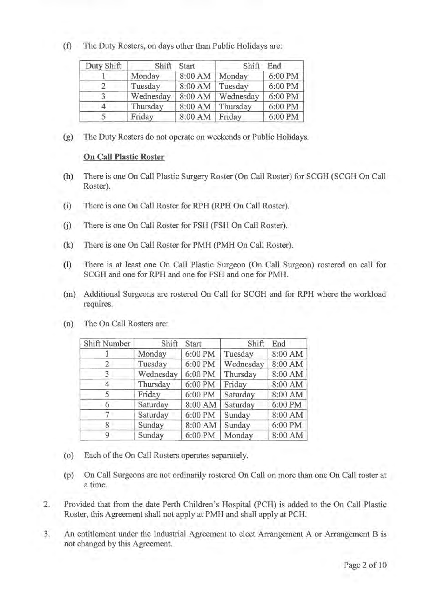(f) The Duty Rosters, on days other than Public Holidays are:

| Duty Shift | Shift     | Start   | Shift     | End     |
|------------|-----------|---------|-----------|---------|
|            | Monday    | 8:00 AM | Monday    | 6:00 PM |
|            | Tuesday   | 8:00 AM | Tuesday   | 6:00 PM |
|            | Wednesday | 8:00 AM | Wednesday | 6:00 PM |
|            | Thursday  | 8:00 AM | Thursday  | 6:00 PM |
|            | Friday    | 8:00 AM | Friday    | 6:00 PM |

(g) The Duty Rosters do not operate on weekends or Public Holidays.

# **On Call Plastic Roster**

- (h) There is one On Call Plastic Surgery Roster (On Call Roster) for SCGH (SCGH On Call Roster).
- (i) There is one On Call Roster for RPH (RPH On Call Roster).
- (j) There is one On Call Roster for FSH (FSH On Call Roster).
- (k) There is one On Call Roster for PMH (PMH On Call Roster).
- (I) There is at least one On Call Plastic Surgeon (On Call Surgeon) rostered on call for SCGH and one for RPH and one for FSH and one for PMH.
- (m) Additional Surgeons are rostered On Call for SCGH and for RPH where the workload requires.

| Shift Number | Shift     | Start   | Shift     | End     |
|--------------|-----------|---------|-----------|---------|
|              | Monday    | 6:00 PM | Tuesday   | 8:00 AM |
|              | Tuesday   | 6:00 PM | Wednesday | 8:00 AM |
| 3            | Wednesday | 6:00 PM | Thursday  | 8:00 AM |
| 4            | Thursday  | 6:00 PM | Friday    | 8:00 AM |
|              | Friday    | 6:00 PM | Saturday  | 8:00 AM |
| 6            | Saturday  | 8:00 AM | Saturday  | 6:00 PM |
|              | Saturday  | 6:00 PM | Sunday    | 8:00 AM |
|              | Sunday    | 8:00 AM | Sunday    | 6:00 PM |
| 9            | Sunday    | 6:00 PM | Monday    | 8:00 AM |

(n) The On Call Rosters are:

- (o) Each of the On Call Rosters operates separately.
- (p) On Call Surgeons are not ordinarily rostered On Call on more than one On Call roster at a time.
- 2. Provided that from the date Perth Children's Hospital (PCH) is added to the On Call Plastic Roster, this Agreement shall not apply at PMH and shall apply at PCH.
- 3. An entitlement under the Industrial Agreement to elect Arrangement A or Arrangement Bis not changed by this Agreement.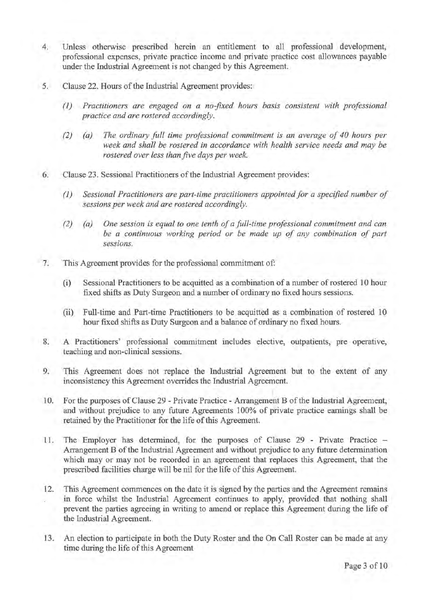- 4. Unless otherwise prescribed herein an entitlement to all professional development, professional expenses, private practice income and private practice cost allowances payable under the Industrial Agreement is not changed by this Agreement.
- 5. Clause 22. Hours of the Industrial Agreement provides:
	- *(1) Practitioners are engaged on a no-fixed hours basis consistent with professional practice and are rostered accordingly.*
	- *(2) (a) The ordinary full time professional commitment is an average of 40 hours per week and shall be rostered in accordance with health service needs and may be rostered over less than five days per week.*
- 6. Clause 23. Sessional Practitioners of the Industrial Agreement provides:
	- *(1) Sessional Practitioners are part-time practitioners appointed for a specified number of sessions per week and are rostered accordingly.*
	- *(2) (a) One session is equal to one tenth of a full-time professional commitment and can be a continuous working period or be made up of any combination of part sessions.*
	- 7. This Agreement provides for the professional commitment of:
		- (i) Sessional Practitioners to be acquitted as a combination of a number of rostered 10 hour fixed shifts as Duty Surgeon and a number of ordinary no fixed hours sessions.
		- (ii) Full-time and Part-time Practitioners to be acquitted as a combination of rostered 10 hour fixed shifts as Duty Surgeon and a balance of ordinary no fixed hours.
- 8. A Practitioners' professional commitment includes elective, outpatients, pre operative, teaching and non-clinical sessions.
	- 9. This Agreement does not replace the Industrial Agreement but to the extent of any inconsistency this Agreement overrides the Industrial Agreement.
	- 10. For the purposes of Clause 29 Private Practice Arrangement B of the Industrial Agreement, and without prejudice to any future Agreements 100% of private practice earnings shall be retained by the Practitioner for the life of this Agreement.
	- 11. The Employer has determined, for the purposes of Clause 29 Private Practice Arrangement B of the Industrial Agreement and without prejudice to any future determination which may or may not be recorded in an agreement that replaces this Agreement, that the prescribed facilities charge will be nil for the life of this Agreement.
	- 12. This Agreement commences on the date it is signed by the parties and the Agreement remains in force whilst the Industrial Agreement continues to apply, provided that nothing shall prevent the parties agreeing in writing to amend or replace this Agreement during the life of the Industrial Agreement.
	- 13. An election to participate in both the Duty Roster and the On Call Roster can be made at any time during the life of this Agreement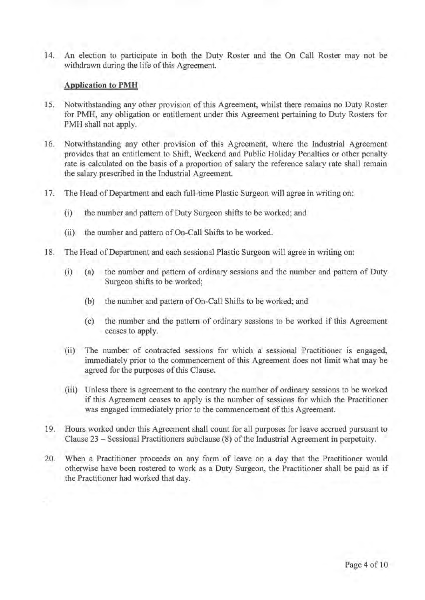14. An election to participate in both the Duty Roster and the On Call Roster may not be withdrawn during the life of this Agreement.

# **Application to PMH**

- 15. Notwithstanding any other provision of this Agreement, whilst there remains no Duty Roster for PMH, any obligation or entitlement under this Agreement pertaining to Duty Rosters for PMH shall not apply.
- 16. Notwithstanding any other provision of this Agreement, where the Industrial Agreement provides that an entitlement to Shift, Weekend and Public Holiday Penalties or other penalty rate is calculated on the basis of a proportion of salary the reference salary rate shall remain the salary prescribed in the Industrial Agreement.
- 17. The Head of Department and each full-time Plastic Surgeon will agree in writing on:
	- (i) the number and pattern of Duty Surgeon shifts to be worked; and
	- (ii) the number and pattern of On-Call Shifts to be worked.
- 18. The Head of Department and each sessional Plastic Surgeon will agree in writing on:
	- (i) (a) the number and pattern of ordinary sessions and the number and pattern of Duty Surgeon shifts to be worked;
		- (b) the number and pattern of On-Call Shifts to be worked; and
		- ( c) the number and the pattern of ordinary sessions to be worked if this Agreement ceases to apply.
	- (ii) The number of contracted sessions for which a sessional Practitioner is engaged, immediately prior to the commencement of this Agreement does not limit what may be agreed for the purposes of this Clause.
	- (iii) Unless there is agreement to the contrary the number of ordinary sessions to be worked if this Agreement ceases to apply is the number of sessions for which the Practitioner was engaged immediately prior to the commencement of this Agreement.
- 19. Hours worked under this Agreement shall count for all purposes for leave accrued pursuant to Clause 23 - Sessional Practitioners subclause (8) of the Industrial Agreement in perpetuity.
- 20. When a Practitioner proceeds on any form of leave on a day that the Practitioner would otherwise have been rostered to work as a Duty Surgeon, the Practitioner shall be paid as if the Practitioner had worked that day.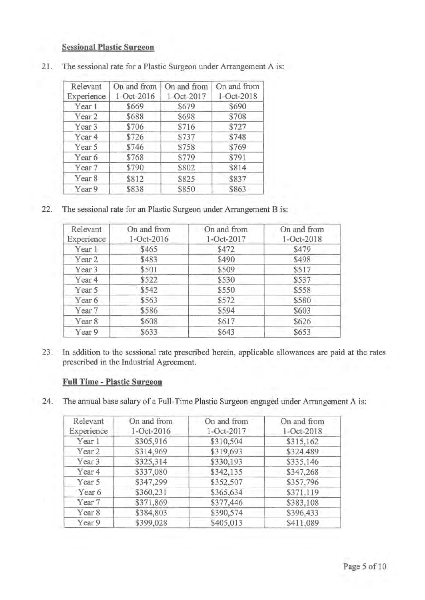# **Sessional Plastic Surgeon**

| Relevant<br>Experience | On and from<br>1-Oct-2016 | On and from<br>1-Oct-2017 | On and from<br>1-Oct-2018 |
|------------------------|---------------------------|---------------------------|---------------------------|
| Year 1                 | \$669                     | \$679                     | \$690                     |
| Year 2                 | \$688                     | \$698                     | \$708                     |
| Year <sub>3</sub>      | \$706                     | \$716                     | \$727                     |
| Year 4                 | \$726                     | \$737                     | \$748                     |
| Year 5                 | \$746                     | \$758                     | \$769                     |
| Year 6                 | \$768                     | \$779                     | \$791                     |
| Year 7                 | \$790                     | \$802                     | \$814                     |
| Year <sub>8</sub>      | \$812                     | \$825                     | \$837                     |
| Year 9                 | \$838                     | \$850                     | \$863                     |

21. The sessional rate for a Plastic Surgeon under Arrangement A is:

22. The sessional rate for an Plastic Surgeon under Arrangement Bis:

| Relevant<br>Experience | On and from<br>1-Oct-2016 | On and from<br>1-Oct-2017 | On and from<br>1-Oct-2018 |
|------------------------|---------------------------|---------------------------|---------------------------|
| Year 1                 | \$465                     | \$472                     | \$479                     |
| Year <sub>2</sub>      | \$483                     | \$490                     | \$498                     |
| Year 3                 | \$501                     | \$509                     | \$517                     |
| Year <sub>4</sub>      | \$522                     | \$530                     | \$537                     |
| Year 5                 | \$542                     | \$550                     | \$558                     |
| Year 6                 | \$563                     | \$572                     | \$580                     |
| Year 7                 | \$586                     | \$594                     | \$603                     |
| Year <sub>8</sub>      | \$608                     | \$617                     | \$626                     |
| Year 9                 | \$633                     | \$643                     | \$653                     |

23. In addition to the sessional rate prescribed herein, applicable allowances are paid at the rates prescribed in the Industrial Agreement.

# **Full Time - Plastic Surgeon**

24. The annual base salary of a Full-Time Plastic Surgeon engaged under Arrangement A is:

| Relevant          | On and from | On and from | On and from |
|-------------------|-------------|-------------|-------------|
| Experience        | 1-Oct-2016  | 1-Oct-2017  | 1-Oct-2018  |
| Year 1            | \$305,916   | \$310,504   | \$315,162   |
| Year <sub>2</sub> | \$314,969   | \$319,693   | \$324.489   |
| Year 3            | \$325,314   | \$330,193   | \$335,146   |
| Year <sub>4</sub> | \$337,080   | \$342,135   | \$347,268   |
| Year 5            | \$347,299   | \$352,507   | \$357,796   |
| Year 6            | \$360,231   | \$365,634   | \$371,119   |
| Year 7            | \$371,869   | \$377,446   | \$383,108   |
| Year 8            | \$384,803   | \$390,574   | \$396,433   |
| Year 9            | \$399.028   | \$405,013   | \$411,089   |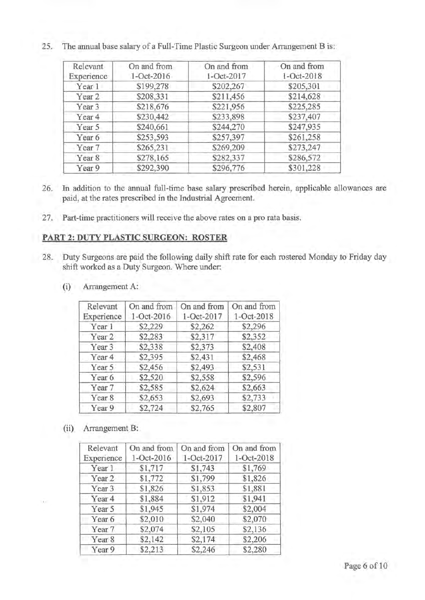| Relevant          | On and from | On and from | On and from |
|-------------------|-------------|-------------|-------------|
| Experience        | 1-Oct-2016  | 1-Oct-2017  | 1-Oct-2018  |
| Year 1            | \$199,278   | \$202,267   | \$205,301   |
| Year <sub>2</sub> | \$208,331   | \$211,456   | \$214,628   |
| Year 3            | \$218,676   | \$221,956   | \$225,285   |
| Year <sub>4</sub> | \$230,442   | \$233,898   | \$237,407   |
| Year 5            | \$240,661   | \$244,270   | \$247,935   |
| Year 6            | \$253,593   | \$257,397   | \$261,258   |
| Year 7            | \$265,231   | \$269,209   | \$273,247   |
| Year 8            | \$278,165   | \$282,337   | \$286,572   |
| Year 9            | \$292,390   | \$296,776   | \$301,228   |

25. The annual base salary of a Full-Time Plastic Surgeon under Arrangement Bis:

- 26. In addition to the annual full-time base salary prescribed herein, applicable allowances are paid, at the rates prescribed in the Industrial Agreement.
- 27. Part-time practitioners will receive the above rates on a pro rata basis.

### **PART 2: DUTY PLASTIC SURGEON: ROSTER**

- 28. Duty Surgeons are paid the following daily shift rate for each rostered Monday to Friday day shift worked as a Duty Surgeon. Where under:
	- Relevant | On and from | On and from | On and from Experience 1-0ct-2016 1-0ct-2017 1-0ct-2018 Year 1 \$2,229 \$2,262 \$2,296 Year 2 \$2,283 \$2,317 \$2,352 Year 3 \$2,338 \$2,373 \$2,408 Year 4 \ \$2,395 \ \$2,431 \ \$2,468 Year 5 \$2,456 \$2,493 \$2,531 Year 6 \$2,520 \$2,558 \$2,596 Year 7 \$2,585 \$2,624 \$2,663 Year 8 \$2,653 \$2,693 \$2,733 Year 9 \$2,724 \$2,765 \$2,807
	- (i) Arrangement A:

(ii) Arrangement B:

| Relevant          | On and from | On and from | On and from |
|-------------------|-------------|-------------|-------------|
| Experience        | 1-Oct-2016  | 1-Oct-2017  | 1-Oct-2018  |
| Year 1            | \$1,717     | \$1,743     | \$1,769     |
| Year <sub>2</sub> | \$1,772     | \$1,799     | \$1,826     |
| Year <sub>3</sub> | \$1,826     | \$1,853     | \$1,881     |
| Year <sub>4</sub> | \$1,884     | \$1,912     | \$1,941     |
| Year 5            | \$1,945     | \$1,974     | \$2,004     |
| Year 6            | \$2,010     | \$2,040     | \$2,070     |
| Year 7            | \$2,074     | \$2,105     | \$2,136     |
| Year 8            | \$2,142     | \$2,174     | \$2,206     |
| Year 9            | \$2,213     | \$2,246     | \$2,280     |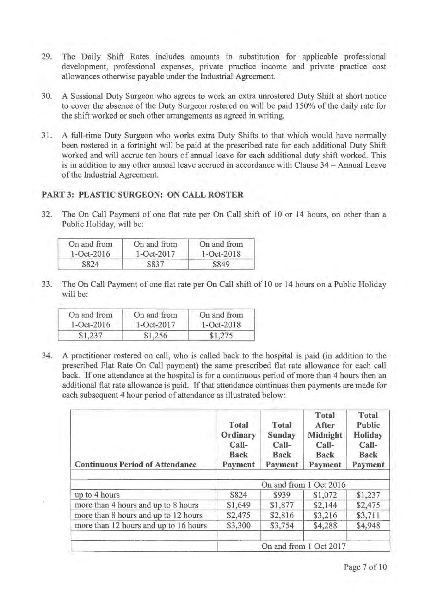- 29. The Daily Shift Rates includes amounts in substitution for applicable professional development, professional expenses, private practice income and private practice cost allowances otherwise payable under the Industrial Agreement.
- 30. A Sessional Duty Surgeon who agrees to work an extra unrostered Duty Shift at short notice to cover the absence of the Duty Surgeon rostered on will be paid 150% of the daily rate for the shift worked or such other arrangements as agreed in writing.
- 31. A full-time Duty Surgeon who works extra Duty Shifts to that which would have normally been rostered in a fortnight will be paid at the prescribed rate for each additional Duty Shift worked and will accrue ten hours of annual leave for each additional duty shift worked. This is in addition to any other annual leave accrued in accordance with Clause 34 - Annual Leave of the Industrial Agreement.

# **PART 3: PLASTIC SURGEON: ON CALL ROSTER**

32. The On Call Payment of one flat rate per On Call shift of 10 or 14 hours, on other than a Public Holiday, will be:

| On and from    | On and from | On and from      |
|----------------|-------------|------------------|
| $1 - Oct-2016$ | 1-Oct-2017  | $1 - Oct - 2018$ |
| \$824          | \$837       | \$849            |

33. The On Call Payment of one flat rate per On Call shift of 10 or 14 hours on a Public Holiday will be:

| On and from    | On and from | On and from    |
|----------------|-------------|----------------|
| $1 - Oct-2016$ | 1-Oct-2017  | $1 - Oct-2018$ |
| \$1,237        | \$1,256     | \$1,275        |

34. A practitioner rostered on call, who is called back to the hospital is paid (in addition to the prescribed Flat Rate On Call payment) the same prescribed flat rate allowance for each call back. If one attendance at the hospital is for a continuous period of more than 4 hours then an additional flat rate allowance is paid. If that attendance continues then payments are made for each subsequent 4 hour period of attendance as illustrated below:

| <b>Continuous Period of Attendance</b> | Total<br>Ordinary<br>Call-<br>Back<br>Payment | Total<br>Sunday<br>Call-<br>Back<br>Payment | Total<br>After<br>Midnight<br>Call-<br><b>Back</b><br>Payment | Total<br>Public<br>Holiday<br>Call-<br>Back<br>Payment |
|----------------------------------------|-----------------------------------------------|---------------------------------------------|---------------------------------------------------------------|--------------------------------------------------------|
|                                        | On and from 1 Oct 2016                        |                                             |                                                               |                                                        |
| up to 4 hours                          | \$824                                         | \$939                                       | \$1,072                                                       | \$1,237                                                |
| more than 4 hours and up to 8 hours    | \$1,649                                       | \$1,877                                     | \$2,144                                                       | \$2,475                                                |
| more than 8 hours and up to 12 hours   | \$2,475                                       | \$2,816                                     | \$3,216                                                       | \$3,711                                                |
| more than 12 hours and up to 16 hours  | \$3,300                                       | \$3,754                                     | \$4,288                                                       | \$4,948                                                |
|                                        |                                               |                                             | On and from 1 Oct 2017                                        |                                                        |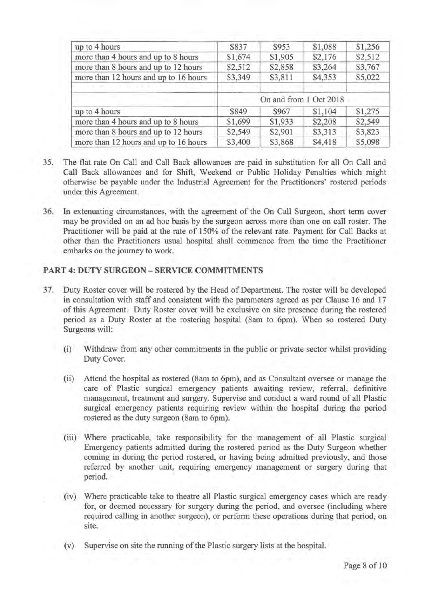| \$837   | \$953   | \$1,088 | \$1,256                |
|---------|---------|---------|------------------------|
| \$1,674 | \$1,905 | \$2,176 | \$2,512                |
| \$2,512 | \$2,858 | \$3,264 | \$3,767                |
| \$3,349 | \$3,811 | \$4,353 | \$5,022                |
|         |         |         |                        |
| \$849   | \$967   | \$1,104 | \$1,275                |
| \$1,699 | \$1,933 | \$2,208 | \$2,549                |
| \$2,549 | \$2,901 | \$3,313 | \$3,823                |
| \$3,400 | \$3,868 | \$4,418 | \$5,098                |
|         |         |         | On and from 1 Oct 2018 |

- 35. The flat rate On Call and Call Back allowances are paid in substitution for all On Call and Call Back allowances and for Shift, Weekend or Public Holiday Penalties which might otherwise be payable under the Industrial Agreement for the Practitioners' rostered periods under this Agreement.
- 36. In extenuating circumstances, with the agreement of the On Call Surgeon, short term cover may be provided on an ad hoc basis by the surgeon across more than one on call roster. The Practitioner will be paid at the rate of 150% of the relevant rate. Payment for Call Backs at other than the Practitioners usual hospital shall commence from the time the Practitioner embarks on the journey to work.

# **PART 4: DUTY SURGEON - SERVICE COMMITMENTS**

- 3 7. Duty Roster cover will be rostered by the Head of Department. The roster will be developed in consultation with staff and consistent with the parameters agreed as per Clause 16 and 17 of this Agreement. Duty Roster cover will be exclusive on site presence during the rostered period as a Duty Roster at the rostering hospital (8am to 6pm). When so rostered Duty Surgeons will:
	- (i) Withdraw from any other commitments in the public or private sector whilst providing Duty Cover.
	- (ii) Attend the hospital as rostered (8am to 6pm), and as Consultant oversee or manage the care of Plastic surgical emergency patients awaiting review, referral, definitive management, treatment and surgery. Supervise and conduct a ward round of all Plastic surgical emergency patients requiring review within the hospital during the period rostered as the duty surgeon (Sam to 6pm).
	- (iii) Where practicable, take responsibility for the management of all Plastic surgical Emergency patients admitted during the rostered period as the Duty Surgeon whether coming in during the period rostered, or having being admitted previously, and those referred by another unit, requiring emergency management or surgery during that period.
	- (iv) Where practicable take to theatre all Plastic surgical emergency cases which are ready for, or deemed necessary for surgery during the period, and oversee (including where required calling in another surgeon), or perform these operations during that period, on site.
	- (v) Supervise on site the running of the Plastic surgery lists at the hospital.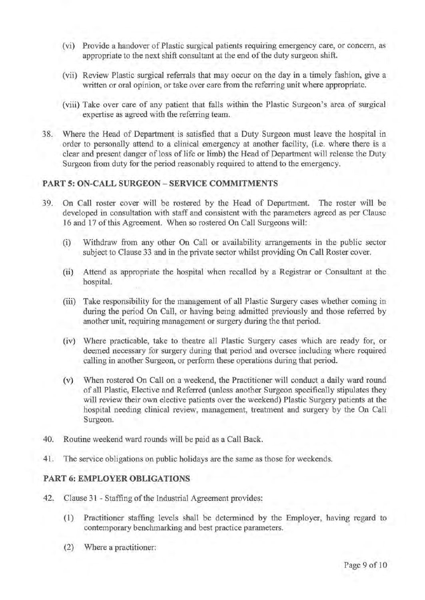- (vi) Provide a handover of Plastic surgical patients requiring emergency care, or concern, as appropriate to the next shift consultant at the end of the duty surgeon shift.
- (vii) Review Plastic surgical referrals that may occur on the day in a timely fashion, give a written or oral opinion, or take over care from the referring unit where appropriate.
- (viii) Take over care of any patient that falls within the Plastic Surgeon's area of surgical expertise as agreed with the referring team.
- 38. Where the Head of Department is satisfied that a Duty Surgeon must leave the hospital in order to personally attend to a clinical emergency at another facility, (i.e. where there is a clear and present danger of loss of life or limb) the Head of Department will release the Duty Surgeon from duty for the period reasonably required to attend to the emergency.

# **PART 5: ON-CALL SURGEON - SERVICE COMMITMENTS**

- 39. On Call roster cover will be rostered by the Head of Department. The roster will be developed in consultation with staff and consistent with the parameters agreed as per Clause 16 and 17 of this Agreement. When so rostered On Call Surgeons will:
	- (i) Withdraw from any other On Call or availability arrangements in the public sector subject to Clause 33 and in the private sector whilst providing On Call Roster cover.
	- (ii) Attend as appropriate the hospital when recalled by a Registrar or Consultant at the hospital.
	- (iii) Take responsibility for the management of all Plastic Surgery cases whether coming in during the period On Call, or having being admitted previously and those referred by another unit, requiring management or surgery during the that period.
	- (iv) Where practicable, take to theatre all Plastic Surgery cases which are ready for, or deemed necessary for surgery during that period and oversee including where required calling in another Surgeon, or perform these operations during that period.
	- (v) When rostered On Call on a weekend, the Practitioner will conduct a daily ward round of all Plastic, Elective and Referred (unless another Surgeon specifically stipulates they will review their own elective patients over the weekend) Plastic Surgery patients at the hospital needing clinical review, management, treatment and surgery by the On Call Surgeon.
- 40. Routine weekend ward rounds will be paid as a Call Back.
- 41. The service obligations on public holidays are the same as those for weekends.

# **PART 6: EMPLOYER OBLIGATIONS**

- 42. Clause 31 Staffing of the Industrial Agreement provides:
	- (1) Practitioner staffing levels shall be determined by the Employer, having regard to contemporary benchmarking and best practice parameters.
	- (2) Where a practitioner: